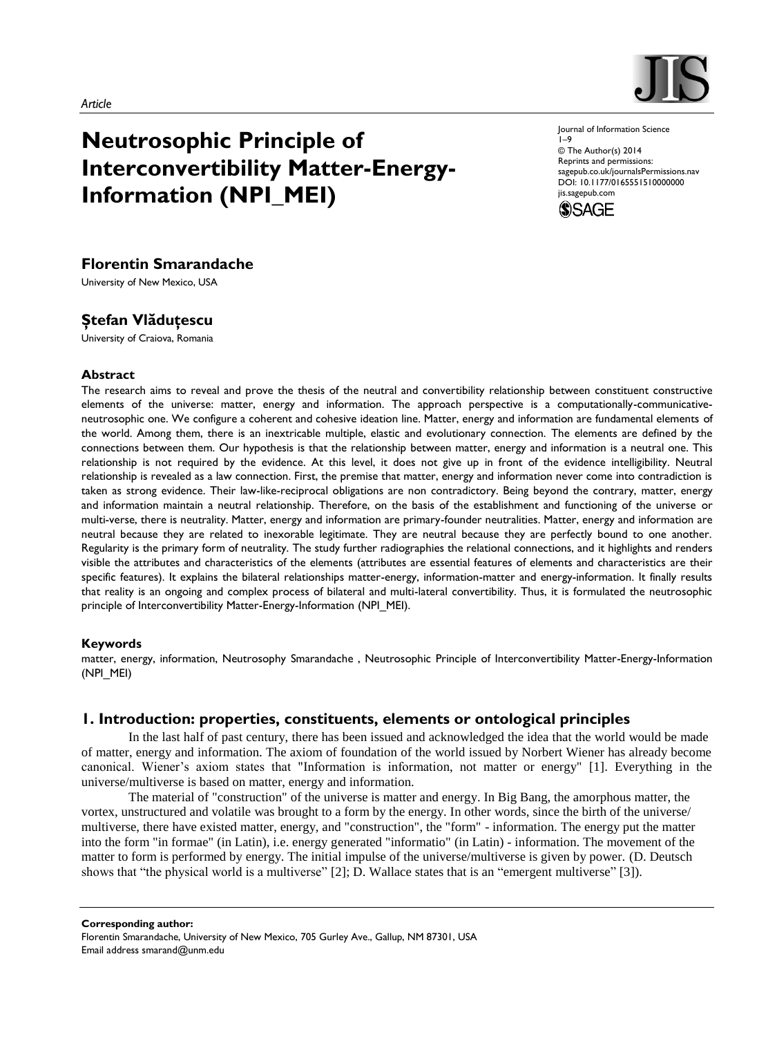

# **Neutrosophic Principle of Interconvertibility Matter-Energy-Information (NPI\_MEI)**

Journal of Information Science 1–9 © The Author(s) 2014 Reprints and permissions: sagepub.co.uk/journalsPermissions.nav DOI: 10.1177/0165551510000000



# **Florentin Smarandache**

University of New Mexico, USA

# **Ştefan Vlăduţescu**

University of Craiova, Romania

### **Abstract**

The research aims to reveal and prove the thesis of the neutral and convertibility relationship between constituent constructive elements of the universe: matter, energy and information. The approach perspective is a computationally-communicativeneutrosophic one. We configure a coherent and cohesive ideation line. Matter, energy and information are fundamental elements of the world. Among them, there is an inextricable multiple, elastic and evolutionary connection. The elements are defined by the connections between them. Our hypothesis is that the relationship between matter, energy and information is a neutral one. This relationship is not required by the evidence. At this level, it does not give up in front of the evidence intelligibility. Neutral relationship is revealed as a law connection. First, the premise that matter, energy and information never come into contradiction is taken as strong evidence. Their law-like-reciprocal obligations are non contradictory. Being beyond the contrary, matter, energy and information maintain a neutral relationship. Therefore, on the basis of the establishment and functioning of the universe or multi-verse, there is neutrality. Matter, energy and information are primary-founder neutralities. Matter, energy and information are neutral because they are related to inexorable legitimate. They are neutral because they are perfectly bound to one another. Regularity is the primary form of neutrality. The study further radiographies the relational connections, and it highlights and renders visible the attributes and characteristics of the elements (attributes are essential features of elements and characteristics are their specific features). It explains the bilateral relationships matter-energy, information-matter and energy-information. It finally results that reality is an ongoing and complex process of bilateral and multi-lateral convertibility. Thus, it is formulated the neutrosophic principle of Interconvertibility Matter-Energy-Information (NPI\_MEI).

# **Keywords**

matter, energy, information, Neutrosophy Smarandache , Neutrosophic Principle of Interconvertibility Matter-Energy-Information (NPI\_MEI)

# **1. Introduction: properties, constituents, elements or ontological principles**

In the last half of past century, there has been issued and acknowledged the idea that the world would be made of matter, energy and information. The axiom of foundation of the world issued by Norbert Wiener has already become canonical. Wiener's axiom states that "Information is information, not matter or energy" [1]. Everything in the universe/multiverse is based on matter, energy and information.

The material of "construction" of the universe is matter and energy. In Big Bang, the amorphous matter, the vortex, unstructured and volatile was brought to a form by the energy. In other words, since the birth of the universe/ multiverse, there have existed matter, energy, and "construction", the "form" - information. The energy put the matter into the form "in formae" (in Latin), i.e. energy generated "informatio" (in Latin) - information. The movement of the matter to form is performed by energy. The initial impulse of the universe/multiverse is given by power. (D. Deutsch shows that "the physical world is a multiverse" [2]; D. Wallace states that is an "emergent multiverse" [3]).

**Corresponding author:** Florentin Smarandache, University of New Mexico, 705 Gurley Ave., Gallup, NM 87301, USA Email address smarand@unm.edu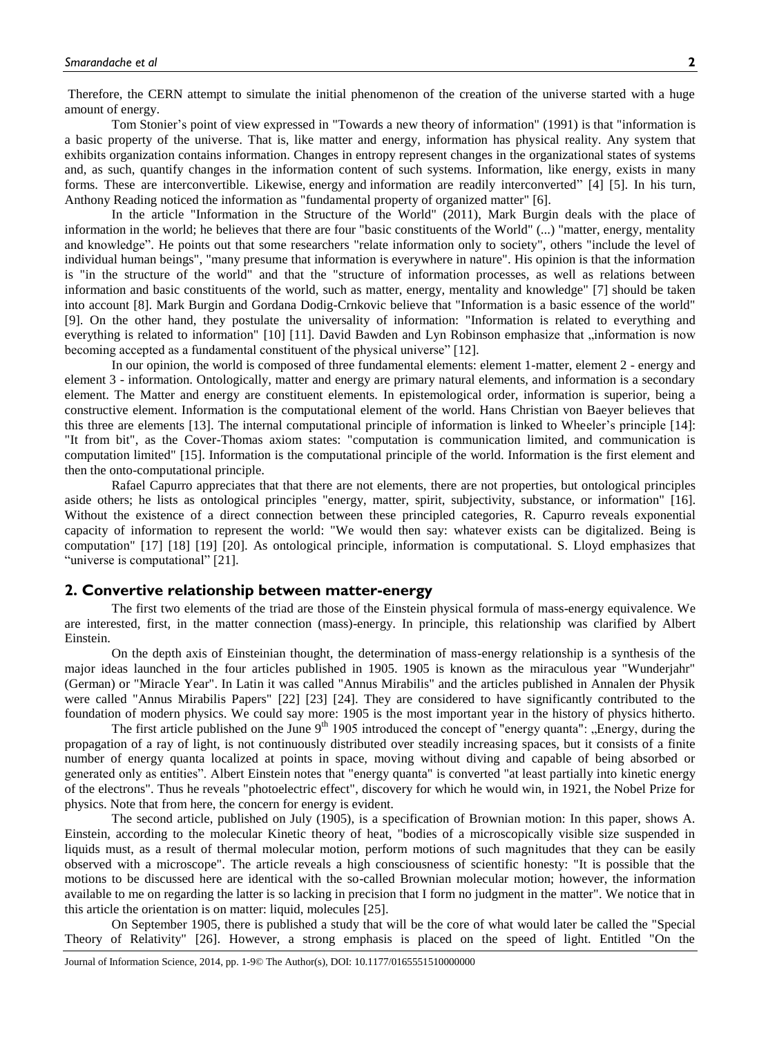Therefore, the CERN attempt to simulate the initial phenomenon of the creation of the universe started with a huge amount of energy.

Tom Stonier's point of view expressed in "Towards a new theory of information" (1991) is that "information is a basic property of the universe. That is, like matter and energy, information has physical reality. Any system that exhibits organization contains information. Changes in entropy represent changes in the organizational states of systems and, as such, quantify changes in the information content of such systems. Information, like energy, exists in many forms. These are interconvertible. Likewise, energy and information are readily interconverted" [4] [5]. In his turn, Anthony Reading noticed the information as "fundamental property of organized matter" [6].

In the article "Information in the Structure of the World" (2011), Mark Burgin deals with the place of information in the world; he believes that there are four "basic constituents of the World" (...) "matter, energy, mentality and knowledge". He points out that some researchers "relate information only to society", others "include the level of individual human beings", "many presume that information is everywhere in nature". His opinion is that the information is "in the structure of the world" and that the "structure of information processes, as well as relations between information and basic constituents of the world, such as matter, energy, mentality and knowledge" [7] should be taken into account [8]. Mark Burgin and Gordana Dodig-Crnkovic believe that "Information is a basic essence of the world" [9]. On the other hand, they postulate the universality of information: "Information is related to everything and everything is related to information" [10] [11]. David Bawden and Lyn Robinson emphasize that "information is now becoming accepted as a fundamental constituent of the physical universe" [12].

In our opinion, the world is composed of three fundamental elements: element 1-matter, element 2 - energy and element 3 - information. Ontologically, matter and energy are primary natural elements, and information is a secondary element. The Matter and energy are constituent elements. In epistemological order, information is superior, being a constructive element. Information is the computational element of the world. Hans Christian von Baeyer believes that this three are elements [13]. The internal computational principle of information is linked to Wheeler's principle [14]: "It from bit", as the Cover-Thomas axiom states: "computation is communication limited, and communication is computation limited" [15]. Information is the computational principle of the world. Information is the first element and then the onto-computational principle.

Rafael Capurro appreciates that that there are not elements, there are not properties, but ontological principles aside others; he lists as ontological principles "energy, matter, spirit, subjectivity, substance, or information" [16]. Without the existence of a direct connection between these principled categories, R. Capurro reveals exponential capacity of information to represent the world: "We would then say: whatever exists can be digitalized. Being is computation" [17] [18] [19] [20]. As ontological principle, information is computational. S. Lloyd emphasizes that "universe is computational" [21].

#### **2. Convertive relationship between matter-energy**

The first two elements of the triad are those of the Einstein physical formula of mass-energy equivalence. We are interested, first, in the matter connection (mass)-energy. In principle, this relationship was clarified by Albert Einstein.

On the depth axis of Einsteinian thought, the determination of mass-energy relationship is a synthesis of the major ideas launched in the four articles published in 1905. 1905 is known as the miraculous year "Wunderjahr" (German) or "Miracle Year". In Latin it was called "Annus Mirabilis" and the articles published in Annalen der Physik were called "Annus Mirabilis Papers" [22] [23] [24]. They are considered to have significantly contributed to the foundation of modern physics. We could say more: 1905 is the most important year in the history of physics hitherto.

The first article published on the June  $9<sup>th</sup>$  1905 introduced the concept of "energy quanta": "Energy, during the propagation of a ray of light, is not continuously distributed over steadily increasing spaces, but it consists of a finite number of energy quanta localized at points in space, moving without diving and capable of being absorbed or generated only as entities". Albert Einstein notes that "energy quanta" is converted "at least partially into kinetic energy of the electrons". Thus he reveals "photoelectric effect", discovery for which he would win, in 1921, the Nobel Prize for physics. Note that from here, the concern for energy is evident.

The second article, published on July (1905), is a specification of Brownian motion: In this paper, shows A. Einstein, according to the molecular Kinetic theory of heat, "bodies of a microscopically visible size suspended in liquids must, as a result of thermal molecular motion, perform motions of such magnitudes that they can be easily observed with a microscope". The article reveals a high consciousness of scientific honesty: "It is possible that the motions to be discussed here are identical with the so-called Brownian molecular motion; however, the information available to me on regarding the latter is so lacking in precision that I form no judgment in the matter". We notice that in this article the orientation is on matter: liquid, molecules [25].

On September 1905, there is published a study that will be the core of what would later be called the "Special Theory of Relativity" [26]. However, a strong emphasis is placed on the speed of light. Entitled "On the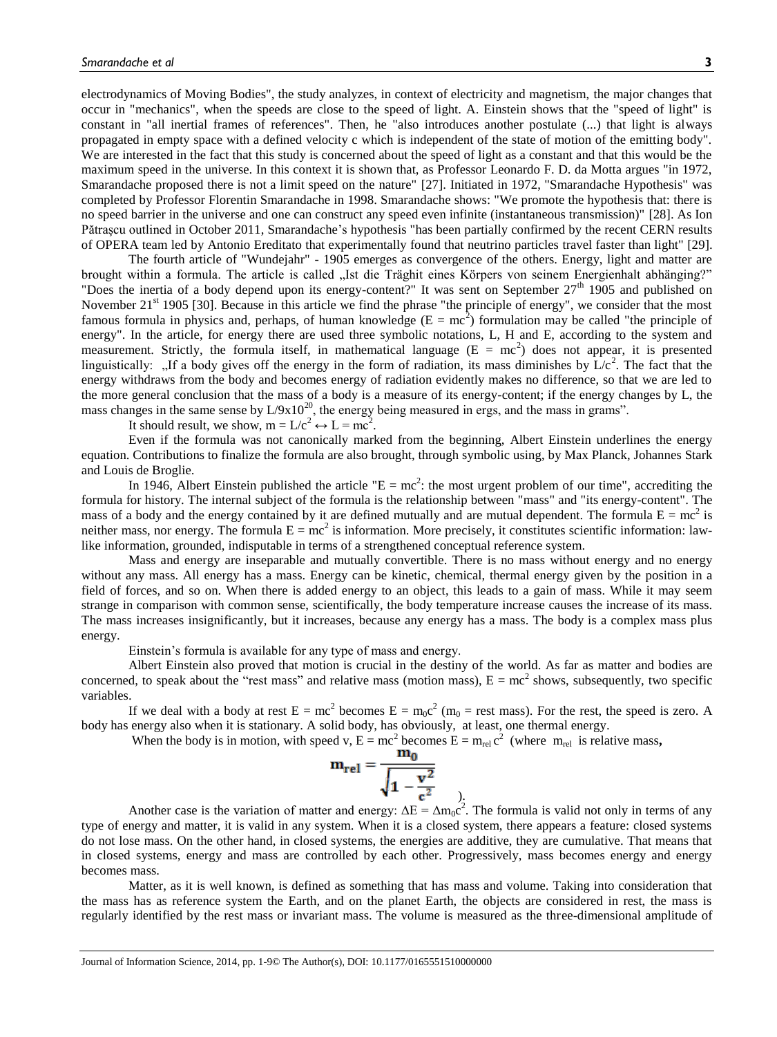electrodynamics of Moving Bodies", the study analyzes, in context of electricity and magnetism, the major changes that occur in "mechanics", when the speeds are close to the speed of light. A. Einstein shows that the "speed of light" is constant in "all inertial frames of references". Then, he "also introduces another postulate (...) that light is always propagated in empty space with a defined velocity c which is independent of the state of motion of the emitting body". We are interested in the fact that this study is concerned about the speed of light as a constant and that this would be the maximum speed in the universe. In this context it is shown that, as Professor Leonardo F. D. da Motta argues "in 1972, Smarandache proposed there is not a limit speed on the nature" [27]. Initiated in 1972, "Smarandache Hypothesis" was completed by Professor Florentin Smarandache in 1998. Smarandache shows: "We promote the hypothesis that: there is no speed barrier in the universe and one can construct any speed even infinite (instantaneous transmission)" [28]. As Ion Pătraşcu outlined in October 2011, Smarandache"s hypothesis "has been partially confirmed by the recent CERN results of OPERA team led by Antonio Ereditato that experimentally found that neutrino particles travel faster than light" [29].

The fourth article of "Wundejahr" - 1905 emerges as convergence of the others. Energy, light and matter are brought within a formula. The article is called "Ist die Träghit eines Körpers von seinem Energienhalt abhänging?" "Does the inertia of a body depend upon its energy-content?" It was sent on September 27<sup>th</sup> 1905 and published on November 21<sup>st</sup> 1905 [30]. Because in this article we find the phrase "the principle of energy", we consider that the most famous formula in physics and, perhaps, of human knowledge ( $E = mc^2$ ) formulation may be called "the principle of energy". In the article, for energy there are used three symbolic notations, L, H and E, according to the system and measurement. Strictly, the formula itself, in mathematical language ( $E = mc^2$ ) does not appear, it is presented linguistically: "If a body gives off the energy in the form of radiation, its mass diminishes by  $\bar{L}/c^2$ . The fact that the energy withdraws from the body and becomes energy of radiation evidently makes no difference, so that we are led to the more general conclusion that the mass of a body is a measure of its energy-content; if the energy changes by L, the mass changes in the same sense by  $L/9x10^{20}$ , the energy being measured in ergs, and the mass in grams".

It should result, we show,  $m = L/c^2 \leftrightarrow L = mc^2$ .

Even if the formula was not canonically marked from the beginning, Albert Einstein underlines the energy equation. Contributions to finalize the formula are also brought, through symbolic using, by Max Planck, Johannes Stark and Louis de Broglie.

In 1946, Albert Einstein published the article " $E = mc^2$ : the most urgent problem of our time", accrediting the formula for history. The internal subject of the formula is the relationship between "mass" and "its energy-content". The mass of a body and the energy contained by it are defined mutually and are mutual dependent. The formula  $E = mc^2$  is neither mass, nor energy. The formula  $E = mc^2$  is information. More precisely, it constitutes scientific information: lawlike information, grounded, indisputable in terms of a strengthened conceptual reference system.

Mass and energy are inseparable and mutually convertible. There is no mass without energy and no energy without any mass. All energy has a mass. Energy can be kinetic, chemical, thermal energy given by the position in a field of forces, and so on. When there is added energy to an object, this leads to a gain of mass. While it may seem strange in comparison with common sense, scientifically, the body temperature increase causes the increase of its mass. The mass increases insignificantly, but it increases, because any energy has a mass. The body is a complex mass plus energy.

Einstein"s formula is available for any type of mass and energy.

Albert Einstein also proved that motion is crucial in the destiny of the world. As far as matter and bodies are concerned, to speak about the "rest mass" and relative mass (motion mass),  $E = mc^2$  shows, subsequently, two specific variables.

If we deal with a body at rest  $E = mc^2$  becomes  $E = m_0c^2$  ( $m_0$  = rest mass). For the rest, the speed is zero. A body has energy also when it is stationary. A solid body, has obviously, at least, one thermal energy.

When the body is in motion, with speed v,  $E = mc^2$  becomes  $E = m_{rel} c^2$  (where  $m_{rel}$  is relative mass,

$$
m_{rel} = \frac{m_0}{\sqrt{1 - \frac{v^2}{c^2}}}
$$

Another case is the variation of matter and energy:  $\Delta E = \Delta m_0 c^2$ . The formula is valid not only in terms of any type of energy and matter, it is valid in any system. When it is a closed system, there appears a feature: closed systems do not lose mass. On the other hand, in closed systems, the energies are additive, they are cumulative. That means that in closed systems, energy and mass are controlled by each other. Progressively, mass becomes energy and energy becomes mass.

Matter, as it is well known, is defined as something that has mass and volume. Taking into consideration that the mass has as reference system the Earth, and on the planet Earth, the objects are considered in rest, the mass is regularly identified by the rest mass or invariant mass. The volume is measured as the three-dimensional amplitude of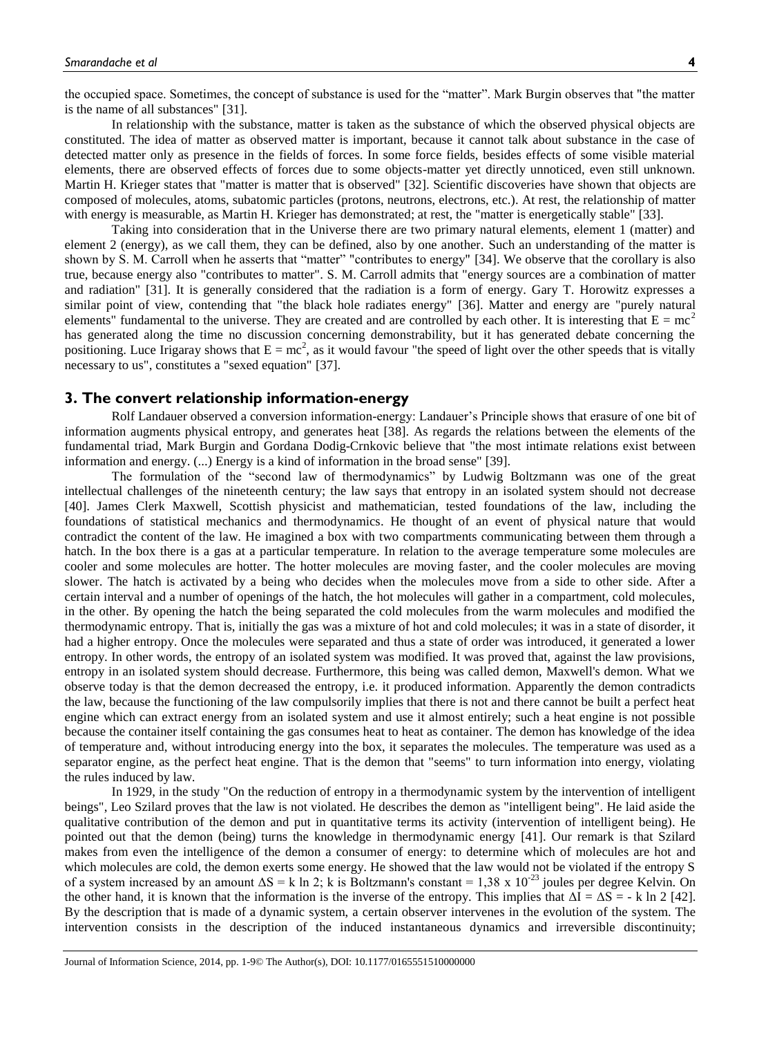the occupied space. Sometimes, the concept of substance is used for the "matter". Mark Burgin observes that "the matter is the name of all substances" [31].

In relationship with the substance, matter is taken as the substance of which the observed physical objects are constituted. The idea of matter as observed matter is important, because it cannot talk about substance in the case of detected matter only as presence in the fields of forces. In some force fields, besides effects of some visible material elements, there are observed effects of forces due to some objects-matter yet directly unnoticed, even still unknown. Martin H. Krieger states that "matter is matter that is observed" [32]. Scientific discoveries have shown that objects are composed of molecules, atoms, subatomic particles (protons, neutrons, electrons, etc.). At rest, the relationship of matter with energy is measurable, as Martin H. Krieger has demonstrated; at rest, the "matter is energetically stable" [33].

Taking into consideration that in the Universe there are two primary natural elements, element 1 (matter) and element 2 (energy), as we call them, they can be defined, also by one another. Such an understanding of the matter is shown by S. M. Carroll when he asserts that "matter" "contributes to energy" [34]. We observe that the corollary is also true, because energy also "contributes to matter". S. M. Carroll admits that "energy sources are a combination of matter and radiation" [31]. It is generally considered that the radiation is a form of energy. Gary T. Horowitz expresses a similar point of view, contending that "the black hole radiates energy" [36]. Matter and energy are "purely natural elements" fundamental to the universe. They are created and are controlled by each other. It is interesting that  $E = mc^2$ has generated along the time no discussion concerning demonstrability, but it has generated debate concerning the positioning. Luce Irigaray shows that  $E = mc^2$ , as it would favour "the speed of light over the other speeds that is vitally necessary to us", constitutes a "sexed equation" [37].

## **3. The convert relationship information-energy**

Rolf Landauer observed a conversion information-energy: Landauer"s Principle shows that erasure of one bit of information augments physical entropy, and generates heat [38]. As regards the relations between the elements of the fundamental triad, Mark Burgin and Gordana Dodig-Crnkovic believe that "the most intimate relations exist between information and energy. (...) Energy is a kind of information in the broad sense" [39].

The formulation of the "second law of thermodynamics" by Ludwig Boltzmann was one of the great intellectual challenges of the nineteenth century; the law says that entropy in an isolated system should not decrease [40]. James Clerk Maxwell, Scottish physicist and mathematician, tested foundations of the law, including the foundations of statistical mechanics and thermodynamics. He thought of an event of physical nature that would contradict the content of the law. He imagined a box with two compartments communicating between them through a hatch. In the box there is a gas at a particular temperature. In relation to the average temperature some molecules are cooler and some molecules are hotter. The hotter molecules are moving faster, and the cooler molecules are moving slower. The hatch is activated by a being who decides when the molecules move from a side to other side. After a certain interval and a number of openings of the hatch, the hot molecules will gather in a compartment, cold molecules, in the other. By opening the hatch the being separated the cold molecules from the warm molecules and modified the thermodynamic entropy. That is, initially the gas was a mixture of hot and cold molecules; it was in a state of disorder, it had a higher entropy. Once the molecules were separated and thus a state of order was introduced, it generated a lower entropy. In other words, the entropy of an isolated system was modified. It was proved that, against the law provisions, entropy in an isolated system should decrease. Furthermore, this being was called demon, Maxwell's demon. What we observe today is that the demon decreased the entropy, i.e. it produced information. Apparently the demon contradicts the law, because the functioning of the law compulsorily implies that there is not and there cannot be built a perfect heat engine which can extract energy from an isolated system and use it almost entirely; such a heat engine is not possible because the container itself containing the gas consumes heat to heat as container. The demon has knowledge of the idea of temperature and, without introducing energy into the box, it separates the molecules. The temperature was used as a separator engine, as the perfect heat engine. That is the demon that "seems" to turn information into energy, violating the rules induced by law.

In 1929, in the study "On the reduction of entropy in a thermodynamic system by the intervention of intelligent beings", Leo Szilard proves that the law is not violated. He describes the demon as "intelligent being". He laid aside the qualitative contribution of the demon and put in quantitative terms its activity (intervention of intelligent being). He pointed out that the demon (being) turns the knowledge in thermodynamic energy [41]. Our remark is that Szilard makes from even the intelligence of the demon a consumer of energy: to determine which of molecules are hot and which molecules are cold, the demon exerts some energy. He showed that the law would not be violated if the entropy S of a system increased by an amount  $\Delta S = k \ln 2$ ; k is Boltzmann's constant = 1,38 x 10<sup>-23</sup> joules per degree Kelvin. On the other hand, it is known that the information is the inverse of the entropy. This implies that  $\Delta I = \Delta S = -k \ln 2$  [42]. By the description that is made of a dynamic system, a certain observer intervenes in the evolution of the system. The intervention consists in the description of the induced instantaneous dynamics and irreversible discontinuity;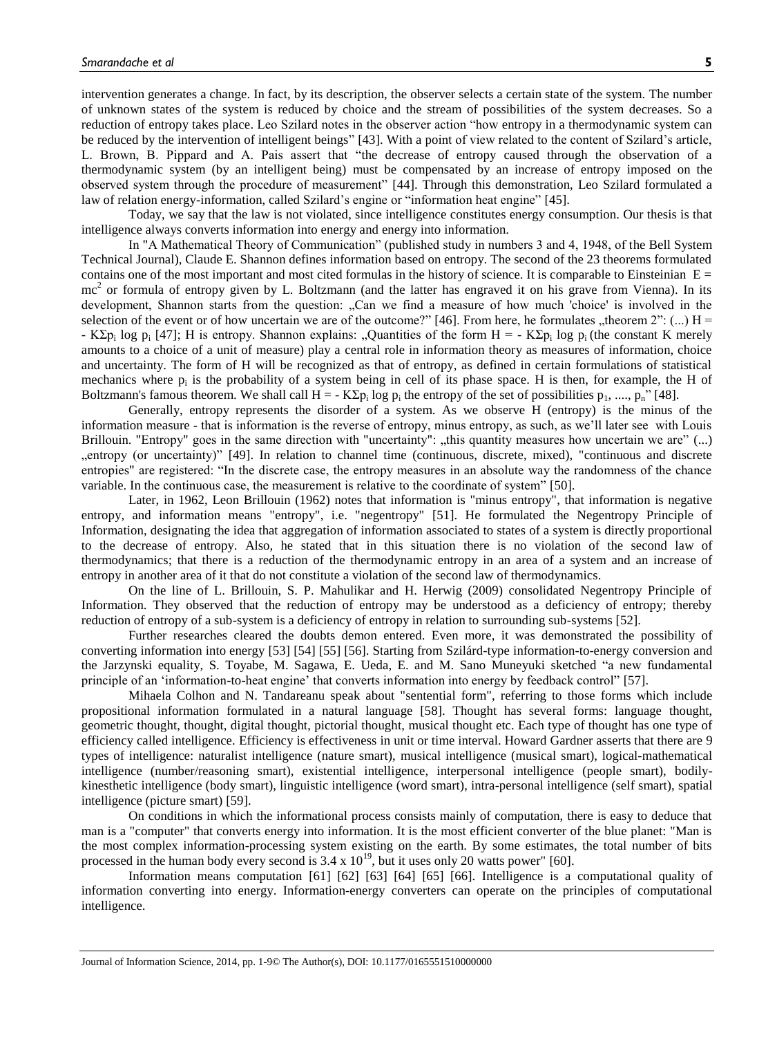intervention generates a change. In fact, by its description, the observer selects a certain state of the system. The number of unknown states of the system is reduced by choice and the stream of possibilities of the system decreases. So a reduction of entropy takes place. Leo Szilard notes in the observer action "how entropy in a thermodynamic system can be reduced by the intervention of intelligent beings" [43]. With a point of view related to the content of Szilard's article, L. Brown, B. Pippard and A. Pais assert that "the decrease of entropy caused through the observation of a thermodynamic system (by an intelligent being) must be compensated by an increase of entropy imposed on the observed system through the procedure of measurement" [44]. Through this demonstration, Leo Szilard formulated a law of relation energy-information, called Szilard"s engine or "information heat engine" [45].

Today, we say that the law is not violated, since intelligence constitutes energy consumption. Our thesis is that intelligence always converts information into energy and energy into information.

In "A Mathematical Theory of Communication" (published study in numbers 3 and 4, 1948, of the Bell System Technical Journal), Claude E. Shannon defines information based on entropy. The second of the 23 theorems formulated contains one of the most important and most cited formulas in the history of science. It is comparable to Einsteinian  $E =$ mc<sup>2</sup> or formula of entropy given by L. Boltzmann (and the latter has engraved it on his grave from Vienna). In its development, Shannon starts from the question: "Can we find a measure of how much 'choice' is involved in the selection of the event or of how uncertain we are of the outcome?" [46]. From here, he formulates "theorem 2":  $(...)$  H = - KΣp<sub>i</sub> log p<sub>i</sub> [47]; H is entropy. Shannon explains: "Quantities of the form H = - KΣp<sub>i</sub> log p<sub>i</sub> (the constant K merely amounts to a choice of a unit of measure) play a central role in information theory as measures of information, choice and uncertainty. The form of H will be recognized as that of entropy, as defined in certain formulations of statistical mechanics where  $p_i$  is the probability of a system being in cell of its phase space. H is then, for example, the H of Boltzmann's famous theorem. We shall call  $H = -K\Sigma p_i \log p_i$  the entropy of the set of possibilities  $p_1, ..., p_n$ " [48].

Generally, entropy represents the disorder of a system. As we observe H (entropy) is the minus of the information measure - that is information is the reverse of entropy, minus entropy, as such, as we"ll later see with Louis Brillouin. "Entropy" goes in the same direction with "uncertainty": "this quantity measures how uncertain we are" (...) "entropy (or uncertainty)" [49]. In relation to channel time (continuous, discrete, mixed), "continuous and discrete entropies" are registered: "In the discrete case, the entropy measures in an absolute way the randomness of the chance variable. In the continuous case, the measurement is relative to the coordinate of system" [50].

Later, in 1962, Leon Brillouin (1962) notes that information is "minus entropy", that information is negative entropy, and information means "entropy", i.e. "negentropy" [51]. He formulated the Negentropy Principle of Information, designating the idea that aggregation of information associated to states of a system is directly proportional to the decrease of entropy. Also, he stated that in this situation there is no violation of the second law of thermodynamics; that there is a reduction of the thermodynamic entropy in an area of a system and an increase of entropy in another area of it that do not constitute a violation of the second law of thermodynamics.

On the line of L. Brillouin, S. P. Mahulikar and H. Herwig (2009) consolidated Negentropy Principle of Information. They observed that the reduction of entropy may be understood as a deficiency of entropy; thereby reduction of entropy of a sub-system is a deficiency of entropy in relation to surrounding sub-systems [52].

Further researches cleared the doubts demon entered. Even more, it was demonstrated the possibility of converting information into energy [53] [54] [55] [56]. Starting from Szilárd-type information-to-energy conversion and the Jarzynski equality, S. Toyabe, M. Sagawa, E. Ueda, E. and M. Sano Muneyuki sketched "a new fundamental principle of an "information-to-heat engine" that converts information into energy by feedback control" [57].

Mihaela Colhon and N. Tandareanu speak about "sentential form", referring to those forms which include propositional information formulated in a natural language [58]. Thought has several forms: language thought, geometric thought, thought, digital thought, pictorial thought, musical thought etc. Each type of thought has one type of efficiency called intelligence. Efficiency is effectiveness in unit or time interval. Howard Gardner asserts that there are 9 types of intelligence: naturalist intelligence (nature smart), musical intelligence (musical smart), logical-mathematical intelligence (number/reasoning smart), existential intelligence, interpersonal intelligence (people smart), bodilykinesthetic intelligence (body smart), linguistic intelligence (word smart), intra-personal intelligence (self smart), spatial intelligence (picture smart) [59].

On conditions in which the informational process consists mainly of computation, there is easy to deduce that man is a "computer" that converts energy into information. It is the most efficient converter of the blue planet: "Man is the most complex information-processing system existing on the earth. By some estimates, the total number of bits processed in the human body every second is  $3.4 \times 10^{19}$ , but it uses only 20 watts power" [60].

Information means computation [61] [62] [63] [64] [65] [66]. Intelligence is a computational quality of information converting into energy. Information-energy converters can operate on the principles of computational intelligence.

Journal of Information Science, 2014, pp. 1-9© The Author(s), DOI: 10.1177/0165551510000000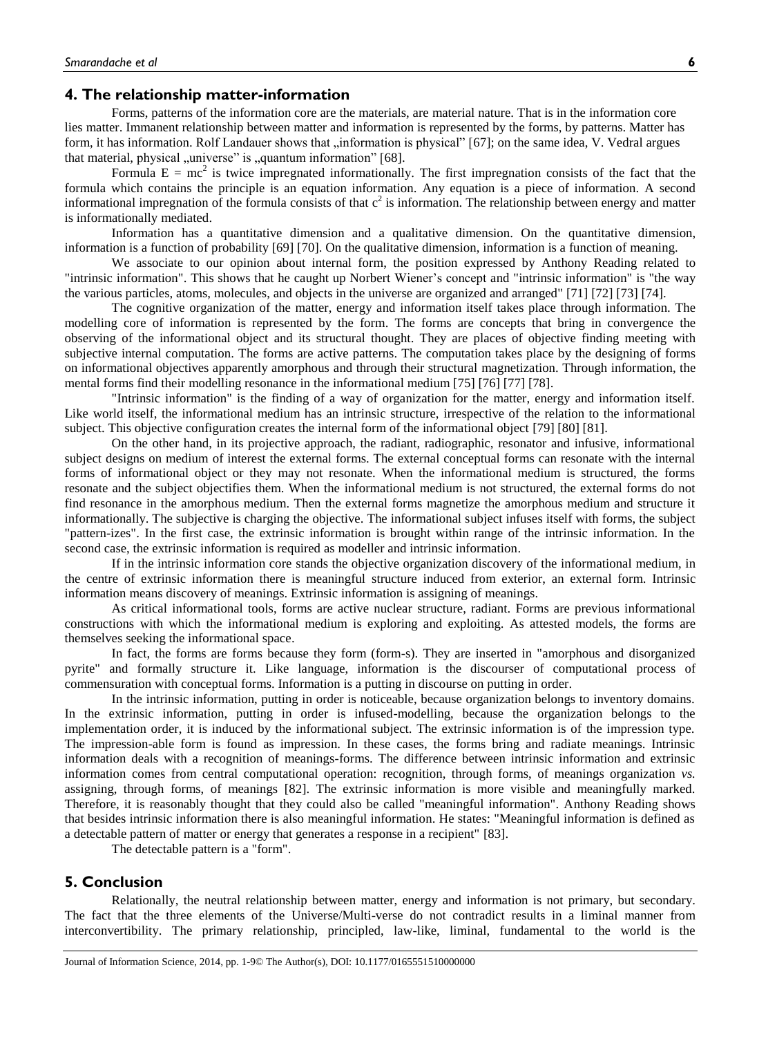# **4. The relationship matter-information**

Forms, patterns of the information core are the materials, are material nature. That is in the information core lies matter. Immanent relationship between matter and information is represented by the forms, by patterns. Matter has form, it has information. Rolf Landauer shows that "information is physical" [67]; on the same idea, V. Vedral argues that material, physical  $\mu$ universe" is  $\mu$ quantum information" [68].

Formula  $E = mc^2$  is twice impregnated informationally. The first impregnation consists of the fact that the formula which contains the principle is an equation information. Any equation is a piece of information. A second informational impregnation of the formula consists of that  $c^2$  is information. The relationship between energy and matter is informationally mediated.

Information has a quantitative dimension and a qualitative dimension. On the quantitative dimension, information is a function of probability [69] [70]. On the qualitative dimension, information is a function of meaning.

We associate to our opinion about internal form, the position expressed by Anthony Reading related to "intrinsic information". This shows that he caught up Norbert Wiener"s concept and "intrinsic information" is "the way the various particles, atoms, molecules, and objects in the universe are organized and arranged" [71] [72] [73] [74].

The cognitive organization of the matter, energy and information itself takes place through information. The modelling core of information is represented by the form. The forms are concepts that bring in convergence the observing of the informational object and its structural thought. They are places of objective finding meeting with subjective internal computation. The forms are active patterns. The computation takes place by the designing of forms on informational objectives apparently amorphous and through their structural magnetization. Through information, the mental forms find their modelling resonance in the informational medium [75] [76] [77] [78].

"Intrinsic information" is the finding of a way of organization for the matter, energy and information itself. Like world itself, the informational medium has an intrinsic structure, irrespective of the relation to the informational subject. This objective configuration creates the internal form of the informational object [79] [80] [81].

On the other hand, in its projective approach, the radiant, radiographic, resonator and infusive, informational subject designs on medium of interest the external forms. The external conceptual forms can resonate with the internal forms of informational object or they may not resonate. When the informational medium is structured, the forms resonate and the subject objectifies them. When the informational medium is not structured, the external forms do not find resonance in the amorphous medium. Then the external forms magnetize the amorphous medium and structure it informationally. The subjective is charging the objective. The informational subject infuses itself with forms, the subject "pattern-izes". In the first case, the extrinsic information is brought within range of the intrinsic information. In the second case, the extrinsic information is required as modeller and intrinsic information.

If in the intrinsic information core stands the objective organization discovery of the informational medium, in the centre of extrinsic information there is meaningful structure induced from exterior, an external form. Intrinsic information means discovery of meanings. Extrinsic information is assigning of meanings.

As critical informational tools, forms are active nuclear structure, radiant. Forms are previous informational constructions with which the informational medium is exploring and exploiting. As attested models, the forms are themselves seeking the informational space.

In fact, the forms are forms because they form (form-s). They are inserted in "amorphous and disorganized pyrite" and formally structure it. Like language, information is the discourser of computational process of commensuration with conceptual forms. Information is a putting in discourse on putting in order.

In the intrinsic information, putting in order is noticeable, because organization belongs to inventory domains. In the extrinsic information, putting in order is infused-modelling, because the organization belongs to the implementation order, it is induced by the informational subject. The extrinsic information is of the impression type. The impression-able form is found as impression. In these cases, the forms bring and radiate meanings. Intrinsic information deals with a recognition of meanings-forms. The difference between intrinsic information and extrinsic information comes from central computational operation: recognition, through forms, of meanings organization *vs.* assigning, through forms, of meanings [82]. The extrinsic information is more visible and meaningfully marked. Therefore, it is reasonably thought that they could also be called "meaningful information". Anthony Reading shows that besides intrinsic information there is also meaningful information. He states: "Meaningful information is defined as a detectable pattern of matter or energy that generates a response in a recipient" [83].

The detectable pattern is a "form".

# **5. Conclusion**

Relationally, the neutral relationship between matter, energy and information is not primary, but secondary. The fact that the three elements of the Universe/Multi-verse do not contradict results in a liminal manner from interconvertibility. The primary relationship, principled, law-like, liminal, fundamental to the world is the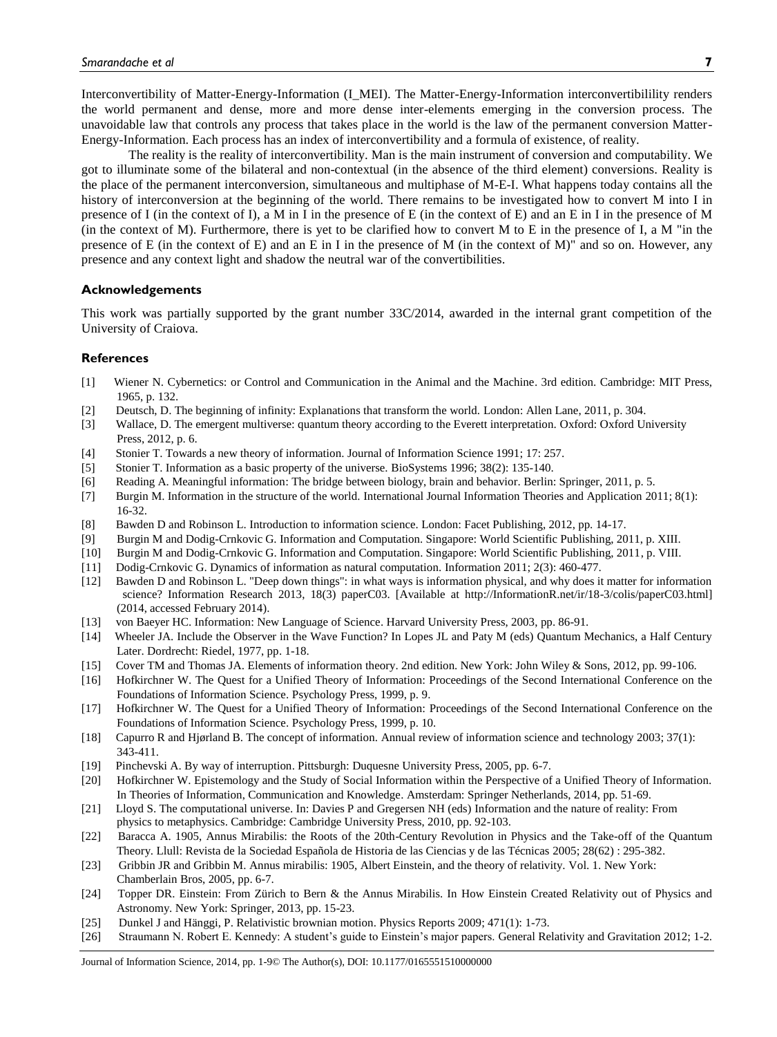Interconvertibility of Matter-Energy-Information (I\_MEI). The Matter-Energy-Information interconvertibilility renders the world permanent and dense, more and more dense inter-elements emerging in the conversion process. The unavoidable law that controls any process that takes place in the world is the law of the permanent conversion Matter-Energy-Information. Each process has an index of interconvertibility and a formula of existence, of reality.

The reality is the reality of interconvertibility. Man is the main instrument of conversion and computability. We got to illuminate some of the bilateral and non-contextual (in the absence of the third element) conversions. Reality is the place of the permanent interconversion, simultaneous and multiphase of M-E-I. What happens today contains all the history of interconversion at the beginning of the world. There remains to be investigated how to convert M into I in presence of I (in the context of I), a M in I in the presence of E (in the context of E) and an E in I in the presence of M (in the context of M). Furthermore, there is yet to be clarified how to convert M to E in the presence of I, a M "in the presence of E (in the context of E) and an E in I in the presence of M (in the context of M)" and so on. However, any presence and any context light and shadow the neutral war of the convertibilities.

#### **Acknowledgements**

This work was partially supported by the grant number 33C/2014, awarded in the internal grant competition of the University of Craiova.

#### **References**

- [1] Wiener N. Cybernetics: or Control and Communication in the Animal and the Machine. 3rd edition. Cambridge: MIT Press, 1965, p. 132.
- [2] Deutsch, D. The beginning of infinity: Explanations that transform the world. London: Allen Lane, 2011, p. 304.
- [3] Wallace, D. The emergent multiverse: quantum theory according to the Everett interpretation. Oxford: Oxford University Press, 2012, p. 6.
- [4] Stonier T. Towards a new theory of information. Journal of Information Science 1991; 17: 257.
- [5] Stonier T. Information as a basic property of the universe. BioSystems 1996; 38(2): 135-140.
- [6] Reading A. Meaningful information: The bridge between biology, brain and behavior. Berlin: Springer, 2011, p. 5.
- [7] Burgin M. Information in the structure of the world. International Journal Information Theories and Application 2011; 8(1): 16-32.
- [8] Bawden D and Robinson L. Introduction to information science. London: Facet Publishing, 2012, pp. 14-17.
- [9] Burgin M and Dodig-Crnkovic G. Information and Computation. Singapore: World Scientific Publishing, 2011, p. XIII.
- [10] Burgin M and Dodig-Crnkovic G. Information and Computation. Singapore: World Scientific Publishing, 2011, p. VIII.
- [11] Dodig-Crnkovic G. Dynamics of information as natural computation. Information 2011; 2(3): 460-477.
- Bawden D and Robinson L. "Deep down things": in what ways is information physical, and why does it matter for information science? Information Research 2013, 18(3) paperC03. [Available at http://InformationR.net/ir/18-3/colis/paperC03.html] (2014, accessed February 2014).
- [13] von Baeyer HC. Information: New Language of Science. Harvard University Press, 2003, pp. 86-91.
- [14] Wheeler JA. Include the Observer in the Wave Function? In Lopes JL and Paty M (eds) Quantum Mechanics, a Half Century Later. Dordrecht: Riedel, 1977, pp. 1-18.
- [15] Cover TM and Thomas JA. Elements of information theory. 2nd edition. New York: John Wiley & Sons, 2012, pp. 99-106.
- [16] Hofkirchner W. The Quest for a Unified Theory of Information: Proceedings of the Second International Conference on the Foundations of Information Science. Psychology Press, 1999, p. 9.
- [17] Hofkirchner W. The Quest for a Unified Theory of Information: Proceedings of the Second International Conference on the Foundations of Information Science. Psychology Press, 1999, p. 10.
- [18] Capurro R and Hjørland B. The concept of information. Annual review of information science and technology 2003; 37(1): 343-411.
- [19] Pinchevski A. By way of interruption. Pittsburgh: Duquesne University Press, 2005, pp. 6-7.
- [20] Hofkirchner W. Epistemology and the Study of Social Information within the Perspective of a Unified Theory of Information. In Theories of Information, Communication and Knowledge. Amsterdam: Springer Netherlands, 2014, pp. 51-69.
- [21] Lloyd S. The computational universe. In: Davies P and Gregersen NH (eds) Information and the nature of reality: From physics to metaphysics. Cambridge: Cambridge University Press, 2010, pp. 92-103.
- [22] Baracca A. 1905, Annus Mirabilis: the Roots of the 20th-Century Revolution in Physics and the Take-off of the Quantum Theory. Llull: Revista de la Sociedad Española de Historia de las Ciencias y de las Técnicas 2005; 28(62) : 295-382.
- [23] Gribbin JR and Gribbin M. Annus mirabilis: 1905, Albert Einstein, and the theory of relativity. Vol. 1. New York: Chamberlain Bros, 2005, pp. 6-7.
- [24] Topper DR. Einstein: From Zürich to Bern & the Annus Mirabilis. In How Einstein Created Relativity out of Physics and Astronomy. New York: Springer, 2013, pp. 15-23.
- [25] Dunkel J and Hänggi, P. Relativistic brownian motion. Physics Reports 2009; 471(1): 1-73.
- [26] Straumann N. Robert E. Kennedy: A student"s guide to Einstein"s major papers. General Relativity and Gravitation 2012; 1-2.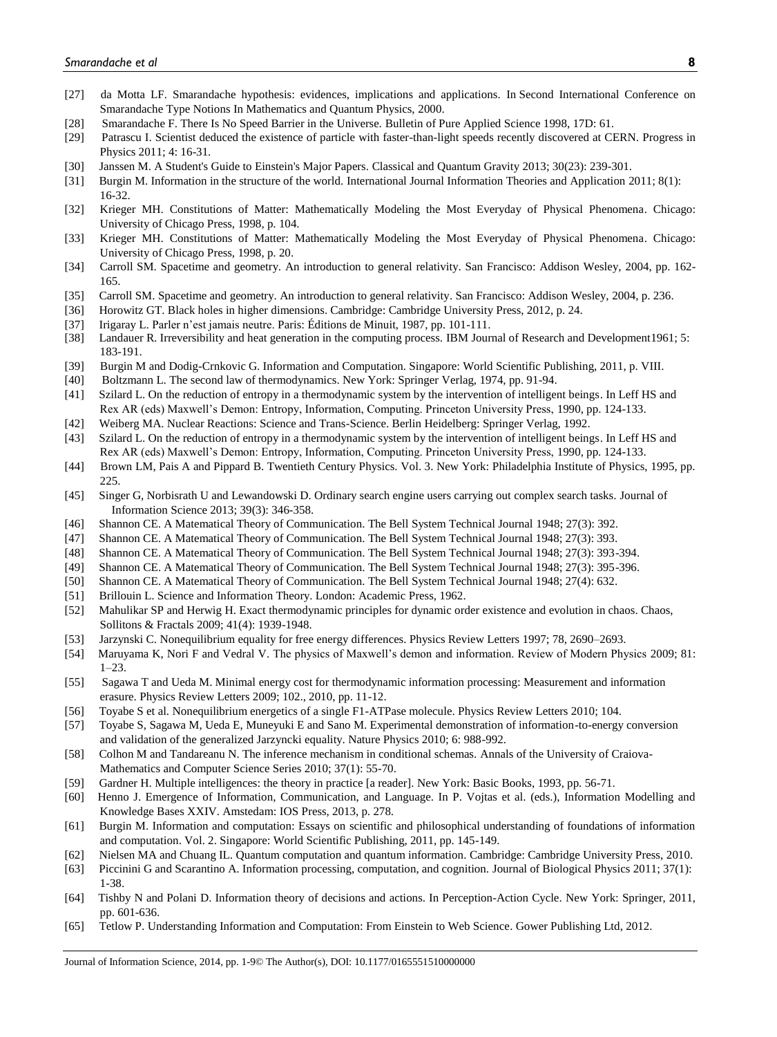- [27] da Motta LF. Smarandache hypothesis: evidences, implications and applications. In Second International Conference on Smarandache Type Notions In Mathematics and Quantum Physics, 2000.
- [28] Smarandache F. There Is No Speed Barrier in the Universe. Bulletin of Pure Applied Science 1998, 17D: 61.
- [29] Patrascu I. Scientist deduced the existence of particle with faster-than-light speeds recently discovered at CERN. Progress in Physics 2011; 4: 16-31.
- [30] Janssen M. A Student's Guide to Einstein's Major Papers. Classical and Quantum Gravity 2013; 30(23): 239-301.
- [31] Burgin M. Information in the structure of the world. International Journal Information Theories and Application 2011; 8(1): 16-32.
- [32] Krieger MH. Constitutions of Matter: Mathematically Modeling the Most Everyday of Physical Phenomena. Chicago: University of Chicago Press, 1998, p. 104.
- [33] Krieger MH. Constitutions of Matter: Mathematically Modeling the Most Everyday of Physical Phenomena. Chicago: University of Chicago Press, 1998, p. 20.
- [34] Carroll SM. Spacetime and geometry. An introduction to general relativity. San Francisco: Addison Wesley, 2004, pp. 162- 165.
- [35] Carroll SM. Spacetime and geometry. An introduction to general relativity. San Francisco: Addison Wesley, 2004, p. 236.
- [36] Horowitz GT. Black holes in higher dimensions. Cambridge: Cambridge University Press, 2012, p. 24.
- [37] Irigaray L. Parler n"est jamais neutre. Paris: Éditions de Minuit, 1987, pp. 101-111.
- [38] Landauer R. Irreversibility and heat generation in the computing process. IBM Journal of Research and Development1961; 5: 183-191.
- [39] Burgin M and Dodig-Crnkovic G. Information and Computation. Singapore: World Scientific Publishing, 2011, p. VIII.
- [40] Boltzmann L. The second law of thermodynamics. New York: Springer Verlag, 1974, pp. 91-94.
- [41] Szilard L. On the reduction of entropy in a thermodynamic system by the intervention of intelligent beings. In Leff HS and Rex AR (eds) Maxwell"s Demon: Entropy, Information, Computing. Princeton University Press, 1990, pp. 124-133.
- [42] Weiberg MA. Nuclear Reactions: Science and Trans-Science. Berlin Heidelberg: Springer Verlag, 1992.
- [43] Szilard L. On the reduction of entropy in a thermodynamic system by the intervention of intelligent beings. In Leff HS and Rex AR (eds) Maxwell"s Demon: Entropy, Information, Computing. Princeton University Press, 1990, pp. 124-133.
- [44] Brown LM, Pais A and Pippard B. Twentieth Century Physics. Vol. 3. New York: Philadelphia Institute of Physics, 1995, pp. 225.
- [45] Singer G, Norbisrath U and Lewandowski D. Ordinary search engine users carrying out complex search tasks. Journal of Information Science 2013; 39(3): 346-358.
- [46] Shannon CE. A Matematical Theory of Communication. The Bell System Technical Journal 1948; 27(3): 392.
- [47] Shannon CE. A Matematical Theory of Communication. The Bell System Technical Journal 1948; 27(3): 393.
- [48] Shannon CE. A Matematical Theory of Communication. The Bell System Technical Journal 1948; 27(3): 393-394.
- [49] Shannon CE. A Matematical Theory of Communication. The Bell System Technical Journal 1948; 27(3): 395-396.
- [50] Shannon CE. A Matematical Theory of Communication. The Bell System Technical Journal 1948; 27(4): 632.
- [51] Brillouin L. Science and Information Theory. London: Academic Press, 1962.
- [52] Mahulikar SP and Herwig H. Exact thermodynamic principles for dynamic order existence and evolution in chaos. Chaos, Sollitons & Fractals 2009; 41(4): 1939-1948.
- [53] Jarzynski C. Nonequilibrium equality for free energy differences. Physics Review Letters 1997; 78, 2690–2693.
- [54] Maruyama K, Nori F and Vedral V. The physics of Maxwell"s demon and information. Review of Modern Physics 2009; 81: 1–23.
- [55] Sagawa T and Ueda M. Minimal energy cost for thermodynamic information processing: Measurement and information erasure. Physics Review Letters 2009; 102., 2010, pp. 11-12.
- [56] Toyabe S et al. Nonequilibrium energetics of a single F1-ATPase molecule. Physics Review Letters 2010; 104.
- [57] Toyabe S, Sagawa M, Ueda E, Muneyuki E and Sano M. Experimental demonstration of information-to-energy conversion and validation of the generalized Jarzyncki equality. Nature Physics 2010; 6: 988-992.
- [58] Colhon M and Tandareanu N. The inference mechanism in conditional schemas. Annals of the University of Craiova-Mathematics and Computer Science Series 2010; 37(1): 55-70.
- [59] Gardner H. Multiple intelligences: the theory in practice [a reader]. New York: Basic Books, 1993, pp. 56-71.
- [60] Henno J. Emergence of Information, Communication, and Language. In P. Vojtas et al. (eds.), Information Modelling and Knowledge Bases XXIV. Amstedam: IOS Press, 2013, p. 278.
- [61] Burgin M. Information and computation: Essays on scientific and philosophical understanding of foundations of information and computation. Vol. 2. Singapore: World Scientific Publishing, 2011, pp. 145-149.
- [62] Nielsen MA and Chuang IL. Quantum computation and quantum information. Cambridge: Cambridge University Press, 2010.
- [63] Piccinini G and Scarantino A. Information processing, computation, and cognition. Journal of Biological Physics 2011; 37(1): 1-38.
- [64] Tishby N and Polani D. Information theory of decisions and actions. In Perception-Action Cycle. New York: Springer, 2011, pp. 601-636.
- [65] Tetlow P. Understanding Information and Computation: From Einstein to Web Science. Gower Publishing Ltd, 2012.